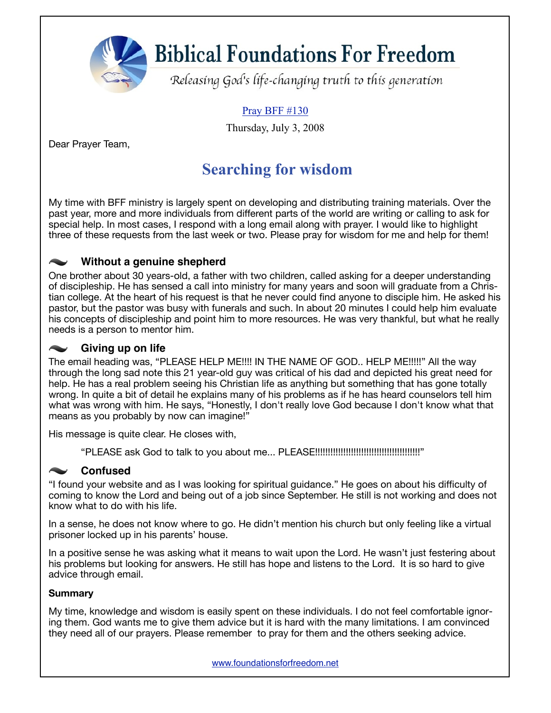**Biblical Foundations For Freedom** 

Releasing God's life-changing truth to this generation

#### Pray BFF #130

Thursday, July 3, 2008

Dear Prayer Team,

### **Searching for wisdom**

My time with BFF ministry is largely spent on developing and distributing training materials. Over the past year, more and more individuals from different parts of the world are writing or calling to ask for special help. In most cases, I respond with a long email along with prayer. I would like to highlight three of these requests from the last week or two. Please pray for wisdom for me and help for them!

### **Without a genuine shepherd**

One brother about 30 years-old, a father with two children, called asking for a deeper understanding of discipleship. He has sensed a call into ministry for many years and soon will graduate from a Christian college. At the heart of his request is that he never could find anyone to disciple him. He asked his pastor, but the pastor was busy with funerals and such. In about 20 minutes I could help him evaluate his concepts of discipleship and point him to more resources. He was very thankful, but what he really needs is a person to mentor him.

#### **Giving up on life**

The email heading was, "PLEASE HELP ME!!!! IN THE NAME OF GOD.. HELP ME!!!!!" All the way through the long sad note this 21 year-old guy was critical of his dad and depicted his great need for help. He has a real problem seeing his Christian life as anything but something that has gone totally wrong. In quite a bit of detail he explains many of his problems as if he has heard counselors tell him what was wrong with him. He says, "Honestly, I don't really love God because I don't know what that means as you probably by now can imagine!"

His message is quite clear. He closes with,

"PLEASE ask God to talk to you about me... PLEASE!!!!!!!!!!!!!!!!!!!!!!!!!!!!!!!!!!!!!!!!!"

### **Confused**

"I found your website and as I was looking for spiritual guidance." He goes on about his difficulty of coming to know the Lord and being out of a job since September. He still is not working and does not know what to do with his life.

In a sense, he does not know where to go. He didn't mention his church but only feeling like a virtual prisoner locked up in his parents' house.

In a positive sense he was asking what it means to wait upon the Lord. He wasn't just festering about his problems but looking for answers. He still has hope and listens to the Lord. It is so hard to give advice through email.

#### **Summary**

My time, knowledge and wisdom is easily spent on these individuals. I do not feel comfortable ignoring them. God wants me to give them advice but it is hard with the many limitations. I am convinced they need all of our prayers. Please remember to pray for them and the others seeking advice.